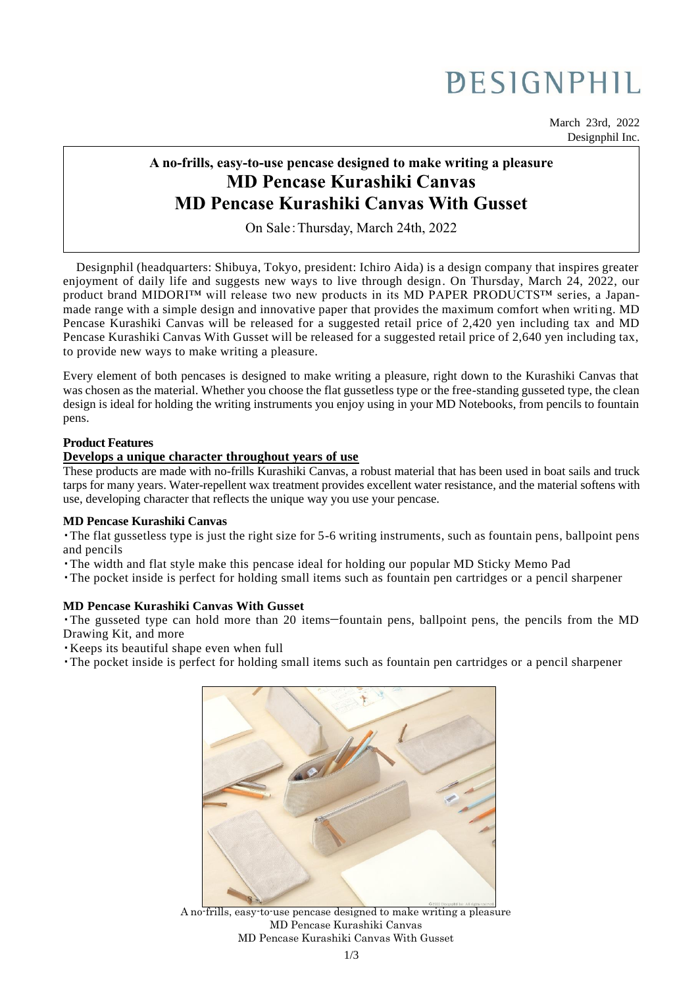# PESIGNPHIL

March 23rd, 2022 Designphil Inc.

# **A no-frills, easy-to-use pencase designed to make writing a pleasure MD Pencase Kurashiki Canvas MD Pencase Kurashiki Canvas With Gusset**

On Sale:Thursday, March 24th, 2022

Designphil (headquarters: Shibuya, Tokyo, president: Ichiro Aida) is a design company that inspires greater enjoyment of daily life and suggests new ways to live through design. On Thursday, March 24, 2022, our product brand MIDORI™ will release two new products in its MD PAPER PRODUCTS™ series, a Japanmade range with a simple design and innovative paper that provides the maximum comfort when writi ng. MD Pencase Kurashiki Canvas will be released for a suggested retail price of 2,420 yen including tax and MD Pencase Kurashiki Canvas With Gusset will be released for a suggested retail price of 2,640 yen including tax, to provide new ways to make writing a pleasure.

Every element of both pencases is designed to make writing a pleasure, right down to the Kurashiki Canvas that was chosen as the material. Whether you choose the flat gussetless type or the free-standing gusseted type, the clean design is ideal for holding the writing instruments you enjoy using in your MD Notebooks, from pencils to fountain pens.

#### **Product Features**

#### **Develops a unique character throughout years of use**

These products are made with no-frills Kurashiki Canvas, a robust material that has been used in boat sails and truck tarps for many years. Water-repellent wax treatment provides excellent water resistance, and the material softens with use, developing character that reflects the unique way you use your pencase.

#### **MD Pencase Kurashiki Canvas**

・The flat gussetless type is just the right size for 5-6 writing instruments, such as fountain pens, ballpoint pens and pencils

- ・The width and flat style make this pencase ideal for holding our popular MD Sticky Memo Pad
- ・The pocket inside is perfect for holding small items such as fountain pen cartridges or a pencil sharpener

## **MD Pencase Kurashiki Canvas With Gusset**

・The gusseted type can hold more than 20 items—fountain pens, ballpoint pens, the pencils from the MD Drawing Kit, and more

・Keeps its beautiful shape even when full

・The pocket inside is perfect for holding small items such as fountain pen cartridges or a pencil sharpener



A no-frills, easy-to-use pencase designed to make writing a pleasure MD Pencase Kurashiki Canvas MD Pencase Kurashiki Canvas With Gusset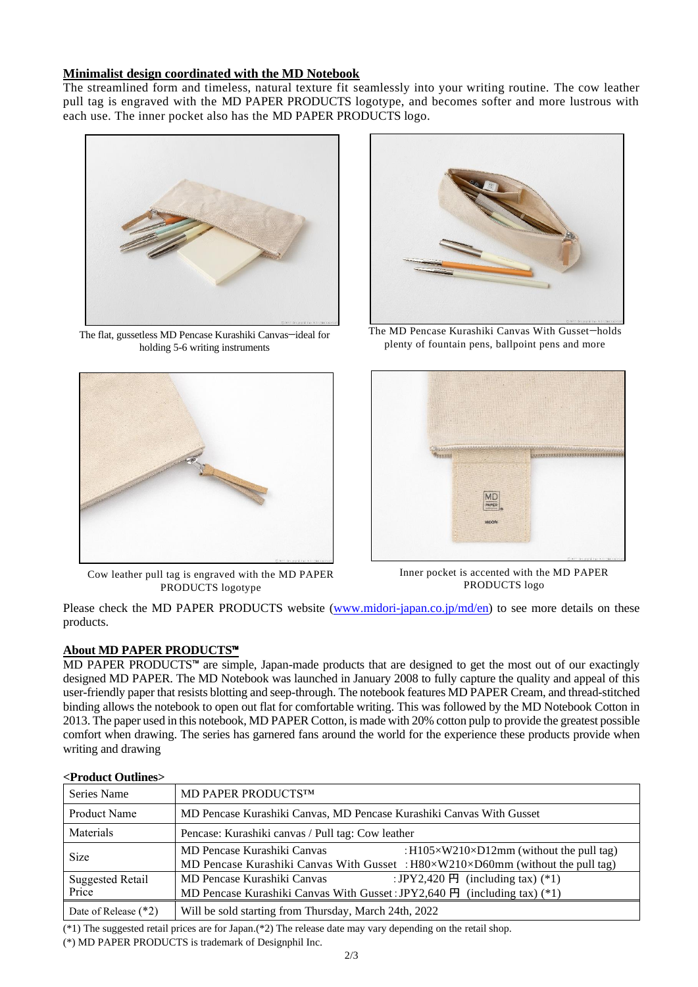#### **Minimalist design coordinated with the MD Notebook**

The streamlined form and timeless, natural texture fit seamlessly into your writing routine. The cow leather pull tag is engraved with the MD PAPER PRODUCTS logotype, and becomes softer and more lustrous with each use. The inner pocket also has the MD PAPER PRODUCTS logo.



The flat, gussetless MD Pencase Kurashiki Canvas—ideal for holding 5-6 writing instruments



Cow leather pull tag is engraved with the MD PAPER PRODUCTS logotype



The MD Pencase Kurashiki Canvas With Gusset—holds plenty of fountain pens, ballpoint pens and more



Inner pocket is accented with the MD PAPER PRODUCTS logo

Please check the MD PAPER PRODUCTS website [\(www.midori-japan.co.jp/md/en\)](https://designphil-my.sharepoint.com/personal/maeko_yoda_designphil_onmicrosoft_com/Documents/PassageDrive/maeko_yoda-58-51714/Desktop/MDペンケースプレスリリース/www.midori-japan.co.jp/md/en) to see more details on these products.

## **About MD PAPER PRODUCTS**™

MD PAPER PRODUCTS™ are simple, Japan-made products that are designed to get the most out of our exactingly designed MD PAPER. The MD Notebook was launched in January 2008 to fully capture the quality and appeal of this user-friendly paper that resists blotting and seep-through. The notebook features MD PAPER Cream, and thread-stitched binding allows the notebook to open out flat for comfortable writing. This was followed by the MD Notebook Cotton in 2013. The paper used in this notebook, MD PAPER Cotton, is made with 20% cotton pulp to provide the greatest possible comfort when drawing. The series has garnered fans around the world for the experience these products provide when writing and drawing

| 1 Tought Outnings                |                                                                                                                                                                                              |
|----------------------------------|----------------------------------------------------------------------------------------------------------------------------------------------------------------------------------------------|
| Series Name                      | MD PAPER PRODUCTSTM                                                                                                                                                                          |
| Product Name                     | MD Pencase Kurashiki Canvas, MD Pencase Kurashiki Canvas With Gusset                                                                                                                         |
| Materials                        | Pencase: Kurashiki canvas / Pull tag: Cow leather                                                                                                                                            |
| Size                             | MD Pencase Kurashiki Canvas<br>: $H105 \times W210 \times D12$ mm (without the pull tag)<br>MD Pencase Kurashiki Canvas With Gusset : $H80 \times W210 \times D60$ mm (without the pull tag) |
| <b>Suggested Retail</b><br>Price | : JPY2,420 $\overline{H}$ (including tax) (*1)<br>MD Pencase Kurashiki Canvas<br>MD Pencase Kurashiki Canvas With Gusset: JPY2,640 $\overline{H}$ (including tax) (*1)                       |
| Date of Release $(*2)$           | Will be sold starting from Thursday, March 24th, 2022                                                                                                                                        |

#### **<Product Outlines>**

(\*1) The suggested retail prices are for Japan.(\*2) The release date may vary depending on the retail shop.

(\*) MD PAPER PRODUCTS is trademark of Designphil Inc.